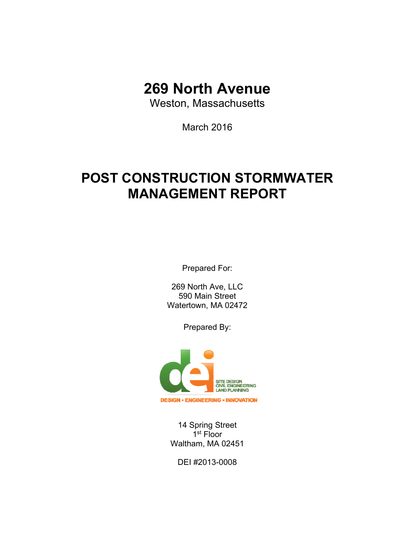# **269 North Avenue**

Weston, Massachusetts

March 2016

# **POST CONSTRUCTION STORMWATER MANAGEMENT REPORT**

Prepared For:

269 North Ave, LLC 590 Main Street Watertown, MA 02472

Prepared By:



14 Spring Street 1<sup>st</sup> Floor Waltham, MA 02451

DEI #2013-0008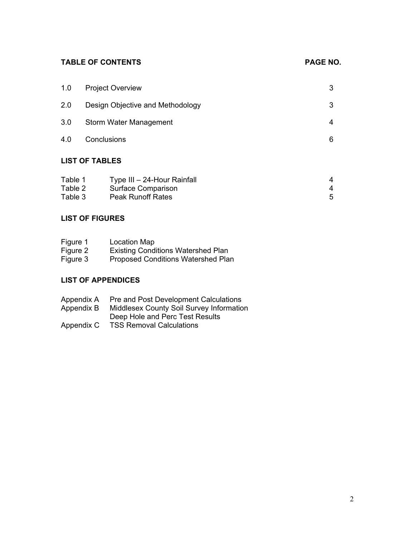# TABLE OF CONTENTS **PAGE NO.**

| 1.0                | <b>Project Overview</b>                                  |        |  |
|--------------------|----------------------------------------------------------|--------|--|
| 2.0                | Design Objective and Methodology                         | 3      |  |
| 3.0                | Storm Water Management                                   | 4      |  |
| 4.0                | Conclusions                                              | 6      |  |
|                    | <b>LIST OF TABLES</b>                                    |        |  |
| Table 1<br>Table 2 | Type III - 24-Hour Rainfall<br><b>Surface Comparison</b> | 4<br>4 |  |

| $1$ uviv $2$ | <u>Uunuvu Uunnunuvn</u>  |  |
|--------------|--------------------------|--|
| Table 3      | <b>Peak Runoff Rates</b> |  |

# **LIST OF FIGURES**

| Figure 1 | <b>Location Map</b>                       |
|----------|-------------------------------------------|
| Figure 2 | <b>Existing Conditions Watershed Plan</b> |
| Figure 3 | <b>Proposed Conditions Watershed Plan</b> |

# **LIST OF APPENDICES**

| Appendix A | <b>Pre and Post Development Calculations</b>    |
|------------|-------------------------------------------------|
| Appendix B | <b>Middlesex County Soil Survey Information</b> |
|            | Deep Hole and Perc Test Results                 |
| Appendix C | <b>TSS Removal Calculations</b>                 |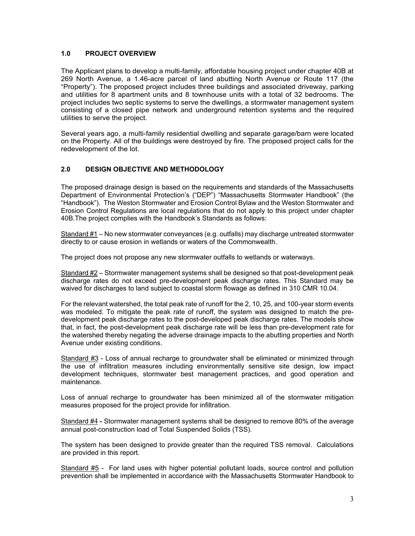#### **1.0 PROJECT OVERVIEW**

The Applicant plans to develop a multi-family, affordable housing project under chapter 40B at 269 North Avenue, a 1.46-acre parcel of land abutting North Avenue or Route 117 (the "Property"). The proposed project includes three buildings and associated driveway, parking and utilities for 8 apartment units and 8 townhouse units with a total of 32 bedrooms. The project includes two septic systems to serve the dwellings, a stormwater management system consisting of a closed pipe network and underground retention systems and the required utilities to serve the project.

Several years ago, a multi-family residential dwelling and separate garage/barn were located on the Property. All of the buildings were destroyed by fire. The proposed project calls for the redevelopment of the lot.

### **2.0 DESIGN OBJECTIVE AND METHODOLOGY**

The proposed drainage design is based on the requirements and standards of the Massachusetts Department of Environmental Protection's ("DEP") "Massachusetts Stormwater Handbook" (the "Handbook"). The Weston Stormwater and Erosion Control Bylaw and the Weston Stormwater and Erosion Control Regulations are local regulations that do not apply to this project under chapter 40B.The project complies with the Handbook's Standards as follows:

Standard #1 – No new stormwater conveyances (e.g. outfalls) may discharge untreated stormwater directly to or cause erosion in wetlands or waters of the Commonwealth.

The project does not propose any new stormwater outfalls to wetlands or waterways.

Standard #2 – Stormwater management systems shall be designed so that post-development peak discharge rates do not exceed pre-development peak discharge rates. This Standard may be waived for discharges to land subject to coastal storm flowage as defined in 310 CMR 10.04.

For the relevant watershed, the total peak rate of runoff for the 2, 10, 25, and 100-year storm events was modeled. To mitigate the peak rate of runoff, the system was designed to match the predevelopment peak discharge rates to the post-developed peak discharge rates. The models show that, in fact, the post-development peak discharge rate will be less than pre-development rate for the watershed thereby negating the adverse drainage impacts to the abutting properties and North Avenue under existing conditions.

Standard #3 - Loss of annual recharge to groundwater shall be eliminated or minimized through the use of infiltration measures including environmentally sensitive site design, low impact development techniques, stormwater best management practices, and good operation and maintenance.

Loss of annual recharge to groundwater has been minimized all of the stormwater mitigation measures proposed for the project provide for infiltration.

Standard #4 **-** Stormwater management systems shall be designed to remove 80% of the average annual post-construction load of Total Suspended Solids (TSS).

The system has been designed to provide greater than the required TSS removal. Calculations are provided in this report.

Standard #5 - For land uses with higher potential pollutant loads, source control and pollution prevention shall be implemented in accordance with the Massachusetts Stormwater Handbook to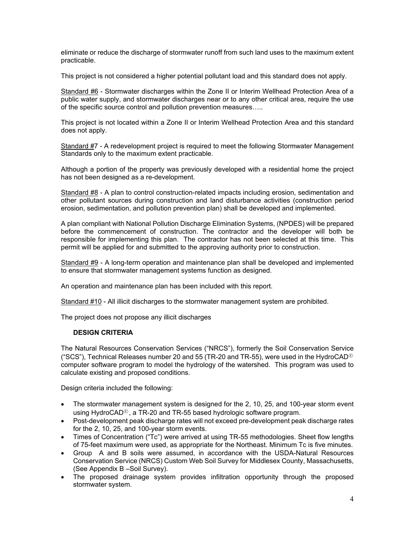eliminate or reduce the discharge of stormwater runoff from such land uses to the maximum extent practicable.

This project is not considered a higher potential pollutant load and this standard does not apply.

Standard #6 - Stormwater discharges within the Zone II or Interim Wellhead Protection Area of a public water supply, and stormwater discharges near or to any other critical area, require the use of the specific source control and pollution prevention measures…..

This project is not located within a Zone II or Interim Wellhead Protection Area and this standard does not apply.

Standard #7 - A redevelopment project is required to meet the following Stormwater Management Standards only to the maximum extent practicable.

Although a portion of the property was previously developed with a residential home the project has not been designed as a re-development.

Standard #8 - A plan to control construction-related impacts including erosion, sedimentation and other pollutant sources during construction and land disturbance activities (construction period erosion, sedimentation, and pollution prevention plan) shall be developed and implemented.

A plan compliant with National Pollution Discharge Elimination Systems, (NPDES) will be prepared before the commencement of construction. The contractor and the developer will both be responsible for implementing this plan. The contractor has not been selected at this time. This permit will be applied for and submitted to the approving authority prior to construction.

Standard #9 - A long-term operation and maintenance plan shall be developed and implemented to ensure that stormwater management systems function as designed.

An operation and maintenance plan has been included with this report.

Standard #10 - All illicit discharges to the stormwater management system are prohibited.

The project does not propose any illicit discharges

#### **DESIGN CRITERIA**

The Natural Resources Conservation Services ("NRCS"), formerly the Soil Conservation Service ("SCS"), Technical Releases number 20 and 55 (TR-20 and TR-55), were used in the HydroCAD<sup>®</sup> computer software program to model the hydrology of the watershed. This program was used to calculate existing and proposed conditions.

Design criteria included the following:

- The stormwater management system is designed for the 2, 10, 25, and 100-year storm event using HydroCAD®, a TR-20 and TR-55 based hydrologic software program.
- Post-development peak discharge rates will not exceed pre-development peak discharge rates for the 2, 10, 25, and 100-year storm events.
- Times of Concentration ("Tc") were arrived at using TR-55 methodologies. Sheet flow lengths of 75-feet maximum were used, as appropriate for the Northeast. Minimum Tc is five minutes.
- Group A and B soils were assumed, in accordance with the USDA-Natural Resources Conservation Service (NRCS) Custom Web Soil Survey for Middlesex County, Massachusetts, (See Appendix B –Soil Survey).
- The proposed drainage system provides infiltration opportunity through the proposed stormwater system.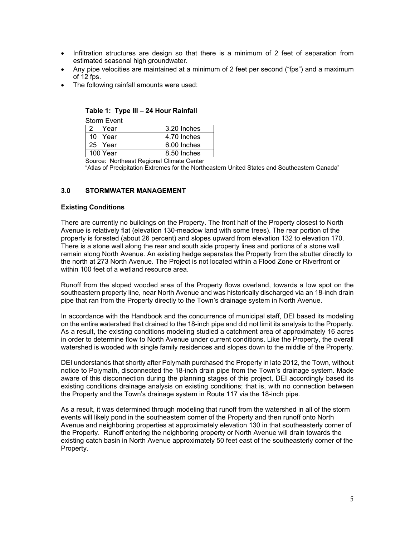- Infiltration structures are design so that there is a minimum of 2 feet of separation from estimated seasonal high groundwater.
- Any pipe velocities are maintained at a minimum of 2 feet per second ("fps") and a maximum of 12 fps.
- The following rainfall amounts were used:

| Storm Event |  |  |  |  |
|-------------|--|--|--|--|
| 3.20 Inches |  |  |  |  |
| 4.70 Inches |  |  |  |  |
| 6.00 Inches |  |  |  |  |
| 8.50 Inches |  |  |  |  |
|             |  |  |  |  |

#### **Table 1: Type III – 24 Hour Rainfall**

Source: Northeast Regional Climate Center

"Atlas of Precipitation Extremes for the Northeastern United States and Southeastern Canada"

#### **3.0 STORMWATER MANAGEMENT**

#### **Existing Conditions**

There are currently no buildings on the Property. The front half of the Property closest to North Avenue is relatively flat (elevation 130-meadow land with some trees). The rear portion of the property is forested (about 26 percent) and slopes upward from elevation 132 to elevation 170. There is a stone wall along the rear and south side property lines and portions of a stone wall remain along North Avenue. An existing hedge separates the Property from the abutter directly to the north at 273 North Avenue. The Project is not located within a Flood Zone or Riverfront or within 100 feet of a wetland resource area.

Runoff from the sloped wooded area of the Property flows overland, towards a low spot on the southeastern property line, near North Avenue and was historically discharged via an 18-inch drain pipe that ran from the Property directly to the Town's drainage system in North Avenue.

In accordance with the Handbook and the concurrence of municipal staff, DEI based its modeling on the entire watershed that drained to the 18-inch pipe and did not limit its analysis to the Property. As a result, the existing conditions modeling studied a catchment area of approximately 16 acres in order to determine flow to North Avenue under current conditions. Like the Property, the overall watershed is wooded with single family residences and slopes down to the middle of the Property.

DEI understands that shortly after Polymath purchased the Property in late 2012, the Town, without notice to Polymath, disconnected the 18-inch drain pipe from the Town's drainage system. Made aware of this disconnection during the planning stages of this project, DEI accordingly based its existing conditions drainage analysis on existing conditions; that is, with no connection between the Property and the Town's drainage system in Route 117 via the 18-inch pipe.

As a result, it was determined through modeling that runoff from the watershed in all of the storm events will likely pond in the southeastern corner of the Property and then runoff onto North Avenue and neighboring properties at approximately elevation 130 in that southeasterly corner of the Property. Runoff entering the neighboring property or North Avenue will drain towards the existing catch basin in North Avenue approximately 50 feet east of the southeasterly corner of the Property.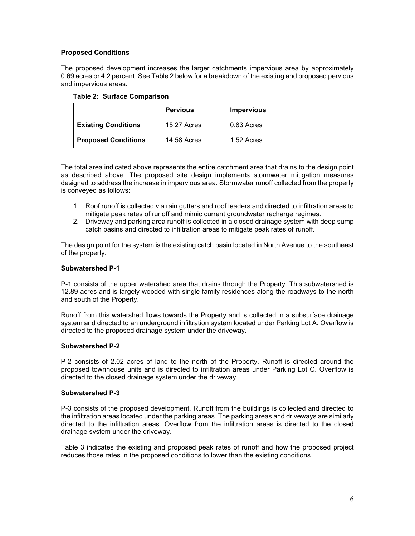## **Proposed Conditions**

The proposed development increases the larger catchments impervious area by approximately 0.69 acres or 4.2 percent. See Table 2 below for a breakdown of the existing and proposed pervious and impervious areas.

|                            | <b>Pervious</b>    | <b>Impervious</b> |
|----------------------------|--------------------|-------------------|
| <b>Existing Conditions</b> | <b>15.27 Acres</b> | 0.83 Acres        |
| <b>Proposed Conditions</b> | <b>14.58 Acres</b> | 1.52 Acres        |

**Table 2: Surface Comparison** 

The total area indicated above represents the entire catchment area that drains to the design point as described above. The proposed site design implements stormwater mitigation measures designed to address the increase in impervious area. Stormwater runoff collected from the property is conveyed as follows:

- 1. Roof runoff is collected via rain gutters and roof leaders and directed to infiltration areas to mitigate peak rates of runoff and mimic current groundwater recharge regimes.
- 2. Driveway and parking area runoff is collected in a closed drainage system with deep sump catch basins and directed to infiltration areas to mitigate peak rates of runoff.

The design point for the system is the existing catch basin located in North Avenue to the southeast of the property.

#### **Subwatershed P-1**

P-1 consists of the upper watershed area that drains through the Property. This subwatershed is 12.89 acres and is largely wooded with single family residences along the roadways to the north and south of the Property.

Runoff from this watershed flows towards the Property and is collected in a subsurface drainage system and directed to an underground infiltration system located under Parking Lot A. Overflow is directed to the proposed drainage system under the driveway.

#### **Subwatershed P-2**

P-2 consists of 2.02 acres of land to the north of the Property. Runoff is directed around the proposed townhouse units and is directed to infiltration areas under Parking Lot C. Overflow is directed to the closed drainage system under the driveway.

#### **Subwatershed P-3**

P-3 consists of the proposed development. Runoff from the buildings is collected and directed to the infiltration areas located under the parking areas. The parking areas and driveways are similarly directed to the infiltration areas. Overflow from the infiltration areas is directed to the closed drainage system under the driveway.

Table 3 indicates the existing and proposed peak rates of runoff and how the proposed project reduces those rates in the proposed conditions to lower than the existing conditions.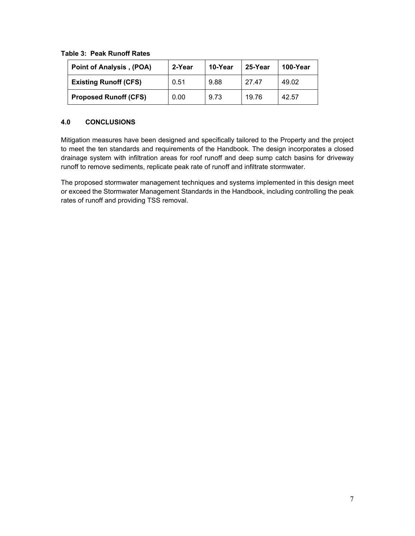**Table 3: Peak Runoff Rates** 

| <b>Point of Analysis, (POA)</b> | 2-Year | 10-Year | 25-Year | 100-Year |
|---------------------------------|--------|---------|---------|----------|
| <b>Existing Runoff (CFS)</b>    | 0.51   | 9.88    | 27.47   | 49.02    |
| <b>Proposed Runoff (CFS)</b>    | 0.00   | 9.73    | 19.76   | 42.57    |

# **4.0 CONCLUSIONS**

Mitigation measures have been designed and specifically tailored to the Property and the project to meet the ten standards and requirements of the Handbook. The design incorporates a closed drainage system with infiltration areas for roof runoff and deep sump catch basins for driveway runoff to remove sediments, replicate peak rate of runoff and infiltrate stormwater.

The proposed stormwater management techniques and systems implemented in this design meet or exceed the Stormwater Management Standards in the Handbook, including controlling the peak rates of runoff and providing TSS removal.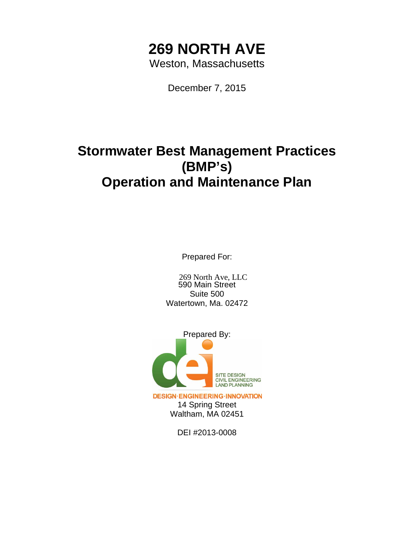# **269 NORTH AVE**

Weston, Massachusetts

December 7, 2015

# **Stormwater Best Management Practices (BMP's) Operation and Maintenance Plan**

Prepared For:

590 Main Street Suite 500 Watertown, Ma. 02472 269 North Ave, LLC



**DESIGN·ENGINEERING·INNOVATION** 14 Spring Street Waltham, MA 02451

DEI #2013-0008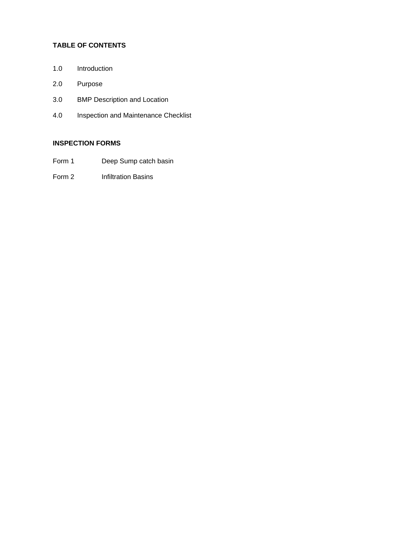# **TABLE OF CONTENTS**

- 1.0 Introduction
- 2.0 Purpose
- 3.0 BMP Description and Location
- 4.0 Inspection and Maintenance Checklist

# **INSPECTION FORMS**

- Form 1 Deep Sump catch basin
- Form 2 Infiltration Basins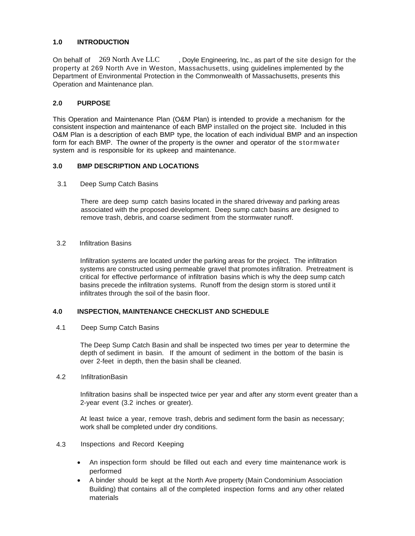## **1.0 INTRODUCTION**

Doyle Engineering, Inc., as part of the site design for the property at 269 North Ave in Weston, Massachusetts, using guidelines implemented by the Department of Environmental Protection in the Commonwealth of Massachusetts, presents this Operation and Maintenance plan. On behalf of 269 North Ave LLC

## **2.0 PURPOSE**

This Operation and Maintenance Plan (O&M Plan) is intended to provide a mechanism for the consistent inspection and maintenance of each BMP installed on the project site. Included in this O&M Plan is a description of each BMP type, the location of each individual BMP and an inspection form for each BMP. The owner of the property is the owner and operator of the stormwater system and is responsible for its upkeep and maintenance.

#### **3.0 BMP DESCRIPTION AND LOCATIONS**

3.1 Deep Sump Catch Basins

There are deep sump catch basins located in the shared driveway and parking areas associated with the proposed development. Deep sump catch basins are designed to remove trash, debris, and coarse sediment from the stormwater runoff.

3.2 Infiltration Basins

Infiltration systems are located under the parking areas for the project. The infiltration systems are constructed using permeable gravel that promotes infiltration. Pretreatment is critical for effective performance of infiltration basins which is why the deep sump catch basins precede the infiltration systems. Runoff from the design storm is stored until it infiltrates through the soil of the basin floor.

#### **4.0 INSPECTION, MAINTENANCE CHECKLIST AND SCHEDULE**

4.1 Deep Sump Catch Basins

The Deep Sump Catch Basin and shall be inspected two times per year to determine the depth of sediment in basin. If the amount of sediment in the bottom of the basin is over 2-feet in depth, then the basin shall be cleaned.

4.2 Infiltration Basin

Infiltration basins shall be inspected twice per year and after any storm event greater than a 2-year event (3.2 inches or greater).

At least twice a year, remove trash, debris and sediment form the basin as necessary; work shall be completed under dry conditions.

- 4.3 Inspections and Record Keeping
	- An inspection form should be filled out each and every time maintenance work is performed
	- A binder should be kept at the North Ave property (Main Condominium Association Building) that contains all of the completed inspection forms and any other related materials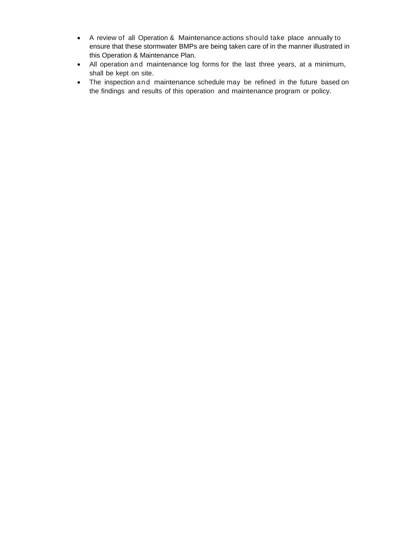- A review of all Operation & Maintenance actions should take place annually to ensure that these stormwater BMPs are being taken care of in the manner illustrated in this Operation & Maintenance Plan.
- All operation and maintenance log forms for the last three years, at a minimum, shall be kept on site.
- The inspection and maintenance schedule may be refined in the future based on the findings and results of this operation and maintenance program or policy.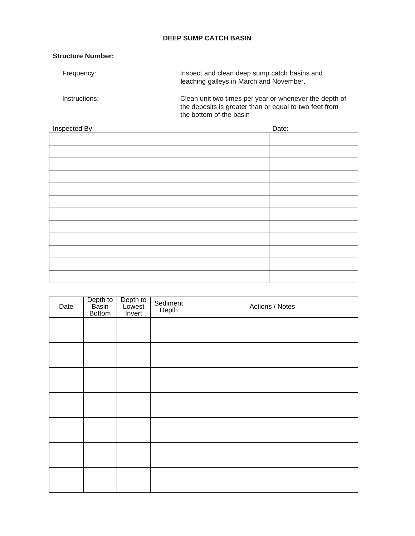# **DEEP SUMP CATCH BASIN**

# **Structure Number:**

| Frequency:    | Inspect and clean deep sump catch basins and<br>leaching galleys in March and November.                                                     |  |  |
|---------------|---------------------------------------------------------------------------------------------------------------------------------------------|--|--|
| Instructions: | Clean unit two times per year or whenever the depth of<br>the deposits is greater than or equal to two feet from<br>the bottom of the basin |  |  |

| Inspected By: | Date: |
|---------------|-------|
|               |       |
|               |       |
|               |       |
|               |       |
|               |       |
|               |       |
|               |       |
|               |       |
|               |       |
|               |       |
|               |       |
|               |       |
|               |       |

| Date | Depth to<br>Basin<br><b>Bottom</b> | Depth to<br>Lowest<br>Invert | Sediment<br>Depth | Actions / Notes |
|------|------------------------------------|------------------------------|-------------------|-----------------|
|      |                                    |                              |                   |                 |
|      |                                    |                              |                   |                 |
|      |                                    |                              |                   |                 |
|      |                                    |                              |                   |                 |
|      |                                    |                              |                   |                 |
|      |                                    |                              |                   |                 |
|      |                                    |                              |                   |                 |
|      |                                    |                              |                   |                 |
|      |                                    |                              |                   |                 |
|      |                                    |                              |                   |                 |
|      |                                    |                              |                   |                 |
|      |                                    |                              |                   |                 |
|      |                                    |                              |                   |                 |
|      |                                    |                              |                   |                 |